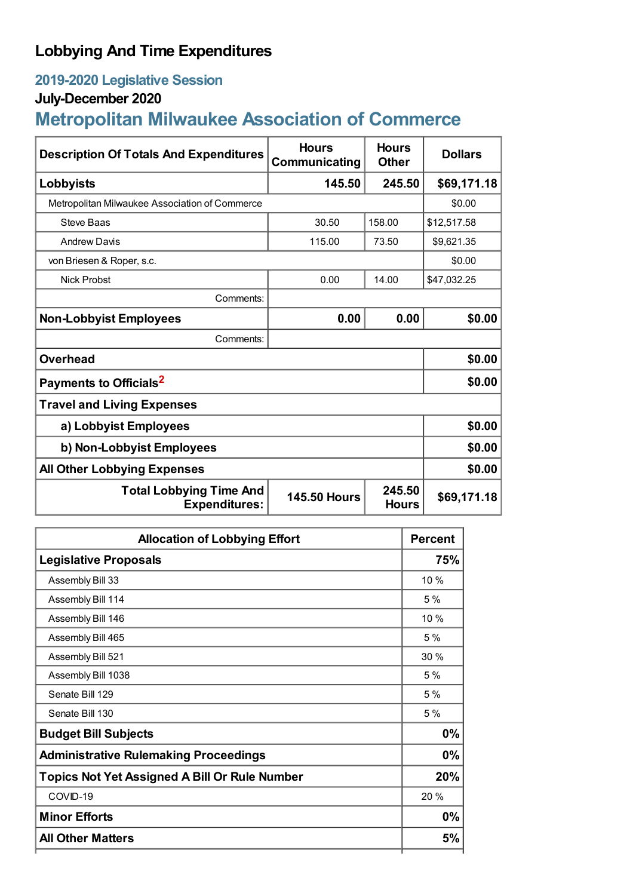## **Lobbying And Time Expenditures**

## **2019-2020 Legislative Session**

## **July-December 2020**

# **Metropolitan Milwaukee Association of Commerce**

| <b>Description Of Totals And Expenditures</b>          | <b>Hours</b><br>Communicating | <b>Hours</b><br><b>Other</b> | <b>Dollars</b> |  |
|--------------------------------------------------------|-------------------------------|------------------------------|----------------|--|
| Lobbyists                                              | 145.50                        | 245.50                       | \$69,171.18    |  |
| Metropolitan Milwaukee Association of Commerce         |                               |                              | \$0.00         |  |
| <b>Steve Baas</b>                                      | 30.50                         | 158.00                       | \$12,517.58    |  |
| <b>Andrew Davis</b>                                    | 115.00                        | 73.50                        | \$9,621.35     |  |
| von Briesen & Roper, s.c.                              |                               |                              | \$0.00         |  |
| <b>Nick Probst</b>                                     | 0.00                          | 14.00                        | \$47,032.25    |  |
| Comments:                                              |                               |                              |                |  |
| <b>Non-Lobbyist Employees</b>                          | 0.00                          | 0.00                         | \$0.00         |  |
| Comments:                                              |                               |                              |                |  |
| Overhead                                               |                               |                              | \$0.00         |  |
| Payments to Officials <sup>2</sup>                     |                               |                              | \$0.00         |  |
| <b>Travel and Living Expenses</b>                      |                               |                              |                |  |
| a) Lobbyist Employees                                  |                               |                              | \$0.00         |  |
| b) Non-Lobbyist Employees                              |                               |                              | \$0.00         |  |
| <b>All Other Lobbying Expenses</b>                     |                               |                              | \$0.00         |  |
| <b>Total Lobbying Time And</b><br><b>Expenditures:</b> | <b>145.50 Hours</b>           | 245.50<br><b>Hours</b>       | \$69,171.18    |  |

| <b>Allocation of Lobbying Effort</b>                 |      |
|------------------------------------------------------|------|
| <b>Legislative Proposals</b>                         | 75%  |
| Assembly Bill 33                                     | 10%  |
| Assembly Bill 114                                    | 5%   |
| Assembly Bill 146                                    | 10%  |
| Assembly Bill 465                                    | 5%   |
| Assembly Bill 521                                    | 30%  |
| Assembly Bill 1038                                   | 5%   |
| Senate Bill 129                                      | 5 %  |
| Senate Bill 130                                      | 5%   |
| <b>Budget Bill Subjects</b>                          | 0%   |
| <b>Administrative Rulemaking Proceedings</b>         | 0%   |
| <b>Topics Not Yet Assigned A Bill Or Rule Number</b> | 20%  |
| COVID-19                                             | 20 % |
| <b>Minor Efforts</b>                                 | 0%   |
| <b>All Other Matters</b>                             | 5%   |
|                                                      |      |